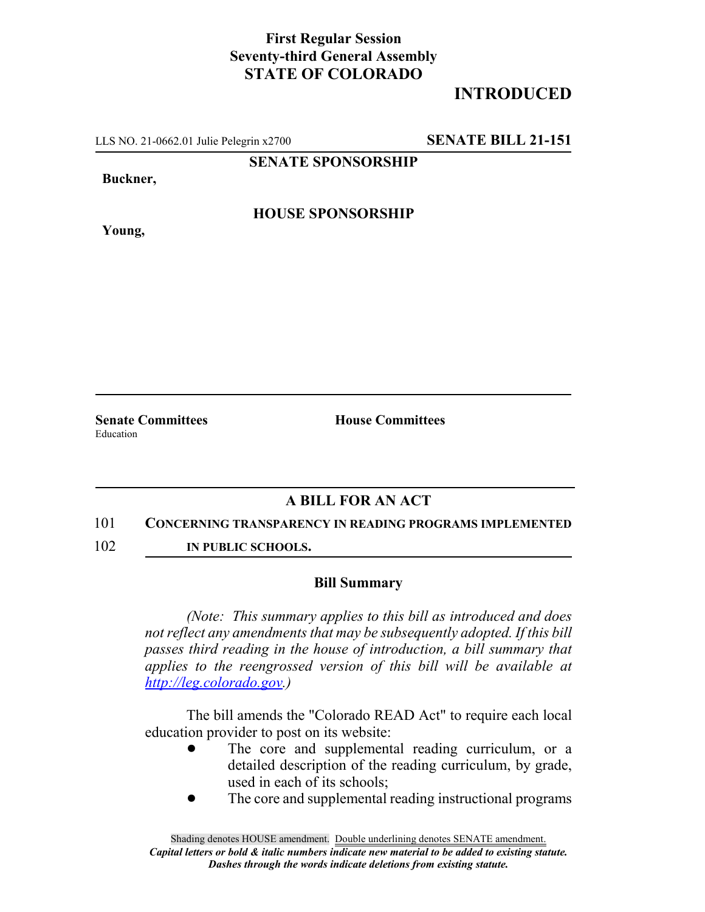### **First Regular Session Seventy-third General Assembly STATE OF COLORADO**

# **INTRODUCED**

LLS NO. 21-0662.01 Julie Pelegrin x2700 **SENATE BILL 21-151**

**SENATE SPONSORSHIP**

**Buckner,**

**HOUSE SPONSORSHIP**

**Young,**

**Senate Committees House Committees** Education

## **A BILL FOR AN ACT**

#### 101 **CONCERNING TRANSPARENCY IN READING PROGRAMS IMPLEMENTED**

102 **IN PUBLIC SCHOOLS.**

#### **Bill Summary**

*(Note: This summary applies to this bill as introduced and does not reflect any amendments that may be subsequently adopted. If this bill passes third reading in the house of introduction, a bill summary that applies to the reengrossed version of this bill will be available at http://leg.colorado.gov.)*

The bill amends the "Colorado READ Act" to require each local education provider to post on its website:

- The core and supplemental reading curriculum, or a detailed description of the reading curriculum, by grade, used in each of its schools;
- The core and supplemental reading instructional programs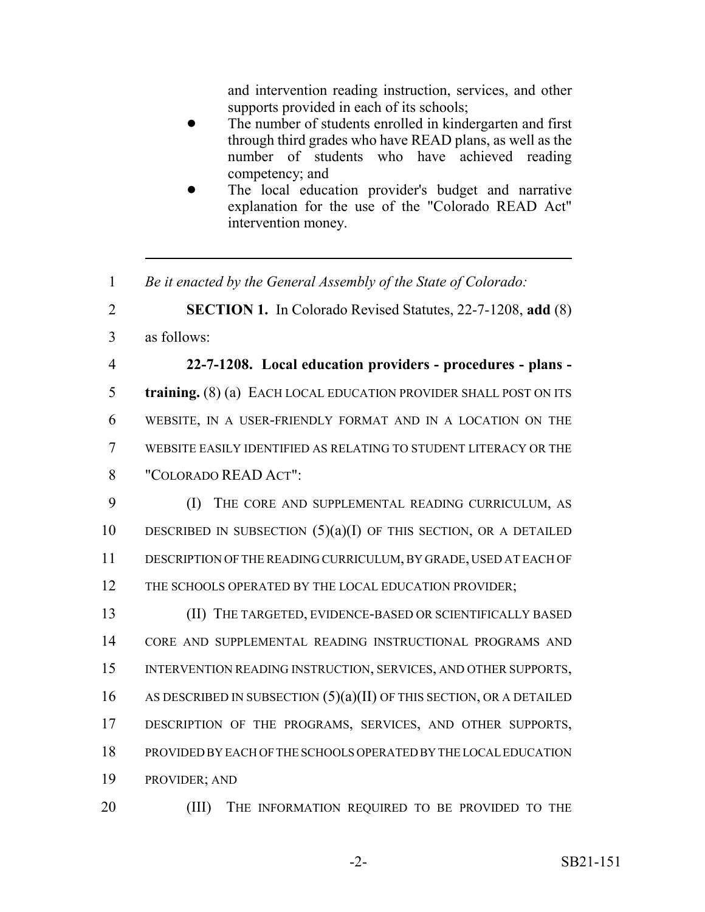and intervention reading instruction, services, and other supports provided in each of its schools;

- The number of students enrolled in kindergarten and first through third grades who have READ plans, as well as the number of students who have achieved reading competency; and
- The local education provider's budget and narrative explanation for the use of the "Colorado READ Act" intervention money.
- 1 *Be it enacted by the General Assembly of the State of Colorado:*

2 **SECTION 1.** In Colorado Revised Statutes, 22-7-1208, **add** (8)

3 as follows:

 **22-7-1208. Local education providers - procedures - plans - training.** (8) (a) EACH LOCAL EDUCATION PROVIDER SHALL POST ON ITS WEBSITE, IN A USER-FRIENDLY FORMAT AND IN A LOCATION ON THE WEBSITE EASILY IDENTIFIED AS RELATING TO STUDENT LITERACY OR THE "COLORADO READ ACT":

9 (I) THE CORE AND SUPPLEMENTAL READING CURRICULUM, AS 10 DESCRIBED IN SUBSECTION  $(5)(a)(I)$  OF THIS SECTION, OR A DETAILED 11 DESCRIPTION OF THE READING CURRICULUM, BY GRADE, USED AT EACH OF 12 THE SCHOOLS OPERATED BY THE LOCAL EDUCATION PROVIDER;

 (II) THE TARGETED, EVIDENCE-BASED OR SCIENTIFICALLY BASED CORE AND SUPPLEMENTAL READING INSTRUCTIONAL PROGRAMS AND INTERVENTION READING INSTRUCTION, SERVICES, AND OTHER SUPPORTS, 16 AS DESCRIBED IN SUBSECTION  $(5)(a)(II)$  OF THIS SECTION, OR A DETAILED DESCRIPTION OF THE PROGRAMS, SERVICES, AND OTHER SUPPORTS, PROVIDED BY EACH OF THE SCHOOLS OPERATED BY THE LOCAL EDUCATION PROVIDER; AND

20 (III) THE INFORMATION REQUIRED TO BE PROVIDED TO THE